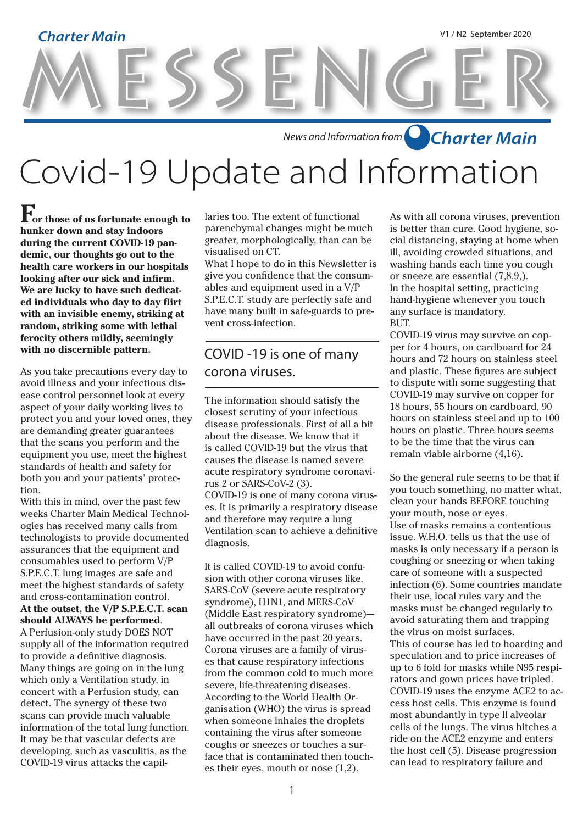# MESSENGER **Charter Main** V1 / N2 September 2020

*News and Information from Charter Main*

Covid-19 Update and Information

**For those of us fortunate enough to hunker down and stay indoors during the current COVID-19 pandemic, our thoughts go out to the health care workers in our hospitals looking after our sick and infirm. We are lucky to have such dedicated individuals who day to day flirt with an invisible enemy, striking at random, striking some with lethal ferocity others mildly, seemingly with no discernible pattern.**

As you take precautions every day to avoid illness and your infectious disease control personnel look at every aspect of your daily working lives to protect you and your loved ones, they are demanding greater guarantees that the scans you perform and the equipment you use, meet the highest standards of health and safety for both you and your patients' protection.

With this in mind, over the past few weeks Charter Main Medical Technologies has received many calls from technologists to provide documented assurances that the equipment and consumables used to perform V/P S.P.E.C.T. lung images are safe and meet the highest standards of safety and cross-contamination control. **At the outset, the V/P S.P.E.C.T. scan should ALWAYS be performed**. A Perfusion-only study DOES NOT supply all of the information required to provide a definitive diagnosis. Many things are going on in the lung which only a Ventilation study, in concert with a Perfusion study, can detect. The synergy of these two scans can provide much valuable information of the total lung function. It may be that vascular defects are developing, such as vasculitis, as the COVID-19 virus attacks the capillaries too. The extent of functional parenchymal changes might be much greater, morphologically, than can be visualised on CT.

What I hope to do in this Newsletter is give you confidence that the consumables and equipment used in a V/P S.P.E.C.T. study are perfectly safe and have many built in safe-guards to prevent cross-infection.

#### COVID -19 is one of many corona viruses.

The information should satisfy the closest scrutiny of your infectious disease professionals. First of all a bit about the disease. We know that it is called COVID-19 but the virus that causes the disease is named severe acute respiratory syndrome coronavirus 2 or SARS-CoV-2 (3). COVID-19 is one of many corona viruses. It is primarily a respiratory disease and therefore may require a lung Ventilation scan to achieve a definitive diagnosis.

It is called COVID-19 to avoid confusion with other corona viruses like, SARS-CoV (severe acute respiratory syndrome), H1N1, and MERS-CoV (Middle East respiratory syndrome)all outbreaks of corona viruses which have occurred in the past 20 years. Corona viruses are a family of viruses that cause respiratory infections from the common cold to much more severe, life-threatening diseases. According to the World Health Organisation (WHO) the virus is spread when someone inhales the droplets containing the virus after someone coughs or sneezes or touches a surface that is contaminated then touches their eyes, mouth or nose (1,2).

As with all corona viruses, prevention is better than cure. Good hygiene, social distancing, staying at home when ill, avoiding crowded situations, and washing hands each time you cough or sneeze are essential (7,8,9,). In the hospital setting, practicing hand-hygiene whenever you touch any surface is mandatory. BUT.

COVID-19 virus may survive on copper for 4 hours, on cardboard for 24 hours and 72 hours on stainless steel and plastic. These figures are subject to dispute with some suggesting that COVID-19 may survive on copper for 18 hours, 55 hours on cardboard, 90 hours on stainless steel and up to 100 hours on plastic. Three hours seems to be the time that the virus can remain viable airborne (4,16).

So the general rule seems to be that if you touch something, no matter what, clean your hands BEFORE touching your mouth, nose or eyes. Use of masks remains a contentious issue. W.H.O. tells us that the use of masks is only necessary if a person is coughing or sneezing or when taking care of someone with a suspected infection (6). Some countries mandate their use, local rules vary and the masks must be changed regularly to avoid saturating them and trapping the virus on moist surfaces. This of course has led to hoarding and speculation and to price increases of up to 6 fold for masks while N95 respirators and gown prices have tripled. COVID-19 uses the enzyme ACE2 to access host cells. This enzyme is found most abundantly in type II alveolar cells of the lungs. The virus hitches a ride on the ACE2 enzyme and enters the host cell (5). Disease progression can lead to respiratory failure and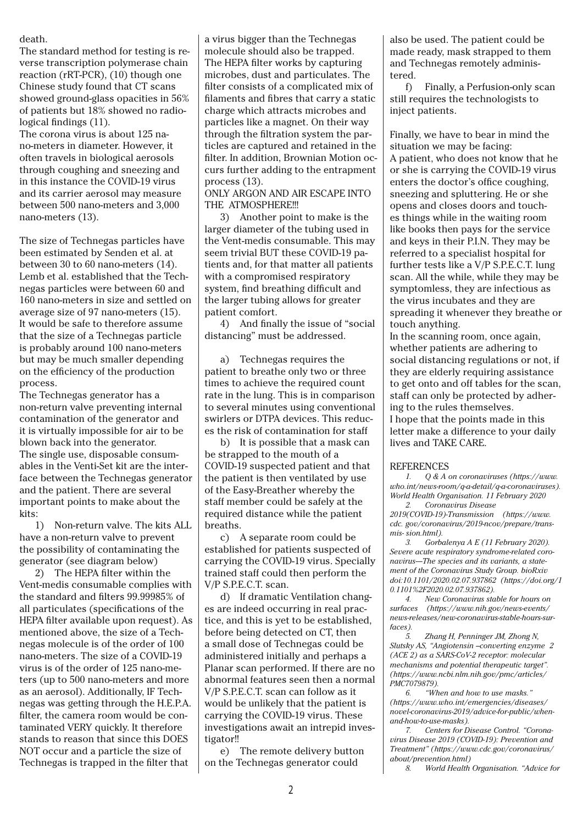#### death.

The standard method for testing is reverse transcription polymerase chain reaction (rRT-PCR), (10) though one Chinese study found that CT scans showed ground-glass opacities in 56% of patients but 18% showed no radiological findings (11).

The corona virus is about 125 nano-meters in diameter. However, it often travels in biological aerosols through coughing and sneezing and in this instance the COVID-19 virus and its carrier aerosol may measure between 500 nano-meters and 3,000 nano-meters  $(13)$ .

The size of Technegas particles have been estimated by Senden et al. at between 30 to 60 nano-meters (14). Lemb et al. established that the Technegas particles were between 60 and 160 nano-meters in size and settled on average size of 97 nano-meters (15). It would be safe to therefore assume that the size of a Technegas particle is probably around 100 nano-meters but may be much smaller depending on the efficiency of the production process.

The Technegas generator has a non-return valve preventing internal contamination of the generator and it is virtually impossible for air to be blown back into the generator. The single use, disposable consumables in the Venti-Set kit are the interface between the Technegas generator and the patient. There are several important points to make about the kits:

1) Non-return valve. The kits ALL have a non-return valve to prevent the possibility of contaminating the generator (see diagram below)

2) The HEPA filter within the Vent-medis consumable complies with the standard and filters 99.99985% of all particulates (specifications of the HEPA filter available upon request). As mentioned above, the size of a Technegas molecule is of the order of 100 nano-meters. The size of a COVID-19 virus is of the order of 125 nano-meters (up to 500 nano-meters and more as an aerosol). Additionally, IF Technegas was getting through the H.E.P.A. filter, the camera room would be contaminated VERY quickly. It therefore stands to reason that since this DOES NOT occur and a particle the size of Technegas is trapped in the filter that

a virus bigger than the Technegas molecule should also be trapped. The HEPA filter works by capturing microbes, dust and particulates. The filter consists of a complicated mix of filaments and fibres that carry a static charge which attracts microbes and particles like a magnet. On their way through the filtration system the particles are captured and retained in the filter. In addition, Brownian Motion occurs further adding to the entrapment process (13).

ONLY ARGON AND AIR ESCAPE INTO THE ATMOSPHERE!!!

3) Another point to make is the larger diameter of the tubing used in the Vent-medis consumable. This may seem trivial BUT these COVID-19 patients and, for that matter all patients with a compromised respiratory system, find breathing difficult and the larger tubing allows for greater patient comfort.

4) And finally the issue of "social distancing" must be addressed.

a) Technegas requires the patient to breathe only two or three times to achieve the required count rate in the lung. This is in comparison to several minutes using conventional swirlers or DTPA devices. This reduces the risk of contamination for staff

b) It is possible that a mask can be strapped to the mouth of a COVID-19 suspected patient and that the patient is then ventilated by use of the Easy-Breather whereby the staff member could be safely at the required distance while the patient breaths.

c) A separate room could be established for patients suspected of carrying the COVID-19 virus. Specially trained staff could then perform the V/P S.P.E.C.T. scan.

d) If dramatic Ventilation changes are indeed occurring in real practice, and this is yet to be established, before being detected on CT, then a small dose of Technegas could be administered initially and perhaps a Planar scan performed. If there are no abnormal features seen then a normal V/P S.P.E.C.T. scan can follow as it would be unlikely that the patient is carrying the COVID-19 virus. These investigations await an intrepid investigator!!

e) The remote delivery button on the Technegas generator could

also be used. The patient could be made ready, mask strapped to them and Technegas remotely administered.

f) Finally, a Perfusion-only scan still requires the technologists to inject patients.

Finally, we have to bear in mind the situation we may be facing: A patient, who does not know that he or she is carrying the COVID-19 virus enters the doctor's office coughing, sneezing and spluttering. He or she opens and closes doors and touches things while in the waiting room like books then pays for the service and keys in their P.I.N. They may be referred to a specialist hospital for further tests like a V/P S.P.E.C.T. lung scan. All the while, while they may be symptomless, they are infectious as the virus incubates and they are spreading it whenever they breathe or touch anything.

In the scanning room, once again, whether patients are adhering to social distancing regulations or not, if they are elderly requiring assistance to get onto and off tables for the scan, staff can only be protected by adhering to the rules themselves. I hope that the points made in this letter make a difference to your daily lives and TAKE CARE.

#### **REFERENCES**

*1. Q & A on coronaviruses (https://www. who.int/news-room/q-a-detail/q-a-coronaviruses). World Health Organisation. 11 February 2020*

*2. Coronavirus Disease 2019(COVID-19)-Transmission (https://www. cdc. gov/coronavirus/2019-ncov/prepare/transmis- sion.html).*

*3. Gorbalenya A E (11 February 2020). Severe acute respiratory syndrome-related coro*navirus-The species and its variants, a state*ment of the Coronavirus Study Group. bioRxiv doi:10.1101/2020.02.07.937862 (https://doi.org/1 0.1101%2F2020.02.07.937862).*

*4. New Coronavirus stable for hours on surfaces (https://www.nih.gov/news-events/ news-releases/new-coronavirus-stable-hours-surfaces).*

*5. Zhang H, Penninger JM, Zhong N, Slutsky AS, "Angiotensin –converting enzyme 2 (ACE 2) as a SARS-CoV-2 receptor: molecular mechanisms and potential therapeutic target". (https://www.ncbi.nlm.nih.gov/pmc/articles/ PMC7079879).*

*6. "When and how to use masks." (https://www.who.int/emergencies/diseases/ novel-coronavirus-2019/advice-for-public/whenand-how-to-use-masks).*

*7. Centers for Disease Control. "Coronavirus Disease 2019 (COVID-19): Prevention and Treatment" (https://www.cdc.gov/coronavirus/ about/prevention.html)*

*8. World Health Organisation. "Advice for*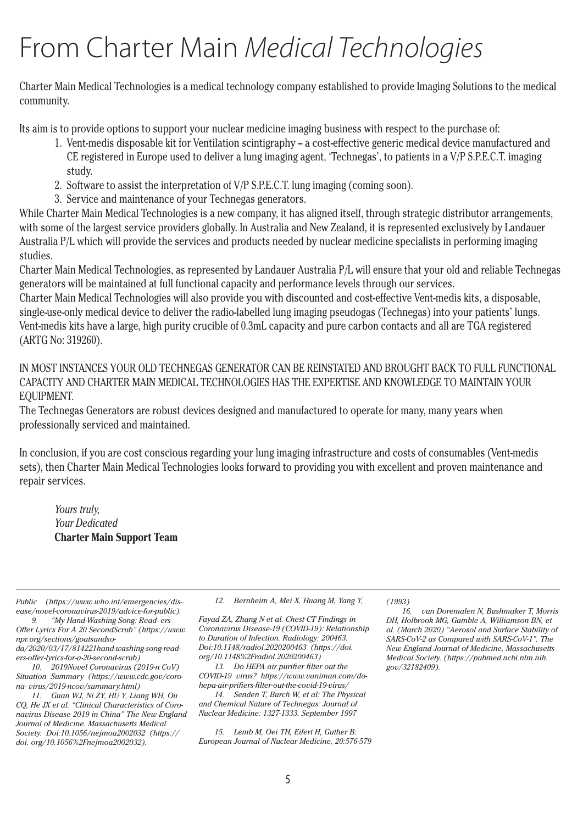# From Charter Main *Medical Technologies*

Charter Main Medical Technologies is a medical technology company established to provide Imaging Solutions to the medical community.

Its aim is to provide options to support your nuclear medicine imaging business with respect to the purchase of:

- 1. Vent-medis disposable kit for Ventilation scintigraphy a cost-effective generic medical device manufactured and CE registered in Europe used to deliver a lung imaging agent, 'Technegas', to patients in a V/P S.P.E.C.T. imaging study.
- 2. Software to assist the interpretation of V/P S.P.E.C.T. lung imaging (coming soon).
- 3. Service and maintenance of your Technegas generators.

While Charter Main Medical Technologies is a new company, it has aligned itself, through strategic distributor arrangements, with some of the largest service providers globally. In Australia and New Zealand, it is represented exclusively by Landauer Australia P/L which will provide the services and products needed by nuclear medicine specialists in performing imaging studies.

Charter Main Medical Technologies, as represented by Landauer Australia P/L will ensure that your old and reliable Technegas generators will be maintained at full functional capacity and performance levels through our services.

Charter Main Medical Technologies will also provide you with discounted and cost-effective Vent-medis kits, a disposable, single-use-only medical device to deliver the radio-labelled lung imaging pseudogas (Technegas) into your patients' lungs. Vent-medis kits have a large, high purity crucible of 0.3mL capacity and pure carbon contacts and all are TGA registered (ARTG No: 319260).

IN MOST INSTANCES YOUR OLD TECHNEGAS GENERATOR CAN BE REINSTATED AND BROUGHT BACK TO FULL FUNCTIONAL CAPACITY AND CHARTER MAIN MEDICAL TECHNOLOGIES HAS THE EXPERTISE AND KNOWLEDGE TO MAINTAIN YOUR EQUIPMENT.

The Technegas Generators are robust devices designed and manufactured to operate for many, many years when professionally serviced and maintained.

In conclusion, if you are cost conscious regarding your lung imaging infrastructure and costs of consumables (Vent-medis sets), then Charter Main Medical Technologies looks forward to providing you with excellent and proven maintenance and repair services.

*Yours truly, Your Dedicated*  **Charter Main Support Team**

*Public (https://www.who.int/emergencies/disease/novel-coronavirus-2019/advice-for-public).*

*9. "My Hand-Washing Song: Read- ers Offer Lyrics For A 20 SecondScrub" (https://www. npr.org/sections/goatsandsoda/2020/03/17/814221hand-washing-song-read-*

*ers-offer-lyrics-for-a-20-second-scrub)*

*10. 2019Novel Coronavirus (2019-n CoV) Situation Summary (https://www.cdc.gov/corona- virus/2019-ncov/summary.html)*

*11. Guan WJ, Ni ZY, HU Y, Liang WH, Ou CQ, He JX et al. "Clinical Characteristics of Coronavirus Disease 2019 in China" The New England Journal of Medicine. Massachusetts Medical Society. Doi:10.1056/nejmoa2002032 (https:// doi. org/10.1056%2Fnejmoa2002032).*

*12. Bernheim A, Mei X, Huang M, Yang Y,*

*Fayad ZA, Zhang N et al. Chest CT Findings in Coronavirus Disease-19 (COVID-19): Relationship to Duration of Infection. Radiology: 200463. Doi:10.1148/radiol.2020200463 (https://doi. org/10.1148%2Fradiol.2020200463)*

*13. Do HEPA air purifier filter out the COVID-19 virus? https://www.vaniman.com/dohepa-air-prifiers-filter-out-the-covid-19-virus/*

*14. Senden T, Burch W, et al: The Physical and Chemical Nature of Technegas: Journal of Nuclear Medicine: 1327-1333. September 1997*

*15. Lemb M, Oei TH, Eifert H, Guther B: European Journal of Nuclear Medicine, 20:576-579*  *(1993)*

*16. van Doremalen N, Bushmaker T, Morris DH, Holbrook MG, Gamble A, Williamson BN, et al. (March 2020) "Aerosol and Surface Stability of SARS-CoV-2 as Compared with SARS-CoV-1". The New England Journal of Medicine, Massachusetts Medical Society. (https://pubmed.ncbi.nlm.nih. gov/32182409).*